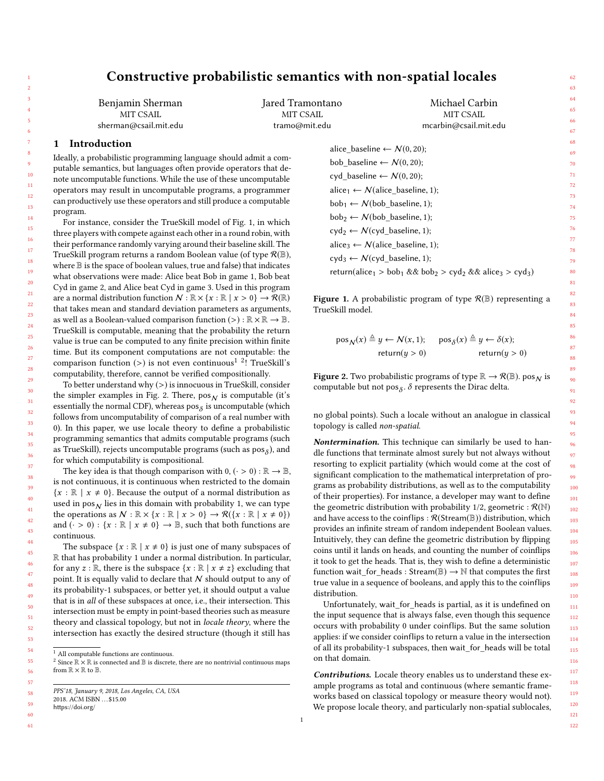# Constructive probabilistic semantics with non-spatial locales

Jared Tramontano MIT CSAIL

Benjamin Sherman MIT CSAIL sherman@csail.mit.edu

# 1 Introduction

Ideally, a probabilistic programming language should admit a computable semantics, but languages often provide operators that denote uncomputable functions. While the use of these uncomputable operators may result in uncomputable programs, a programmer can productively use these operators and still produce a computable program.

For instance, consider the TrueSkill model of Fig. [1,](#page-0-0) in which three players with compete against each other in a round robin, with their performance randomly varying around their baseline skill. The TrueSkill program returns a random Boolean value (of type  $\mathcal{R}(\mathbb{B})$ , where B is the space of boolean values, true and false) that indicates what observations were made: Alice beat Bob in game 1, Bob beat Cyd in game 2, and Alice beat Cyd in game 3. Used in this program are a normal distribution function  $\mathcal{N} : \mathbb{R} \times \{x : \mathbb{R} \mid x > 0\} \to \mathcal{R}(\mathbb{R})$ that takes mean and standard deviation parameters as arguments, as well as a Boolean-valued comparison function  $(>) : \mathbb{R} \times \mathbb{R} \to \mathbb{B}$ . TrueSkill is computable, meaning that the probability the return value is true can be computed to any finite precision within finite time. But its component computations are not computable: the comparison function (>) is not even continuous<sup>[1](#page-0-1)</sup> <sup>2</sup>! TrueSkill's computability, therefore, cannot be verified compositionally.

To better understand why  $(>)$  is innocuous in TrueSkill, consider the simpler examples in Fig. [2.](#page-0-3) There,  $pos_N$  is computable (it's essentially the normal CDF), whereas  $\mathsf{pos}_{\delta}$  is uncomputable (which follows from uncomputability of comparison of a real number with 0). In this paper, we use locale theory to define a probabilistic programming semantics that admits computable programs (such as TrueSkill), rejects uncomputable programs (such as  $\text{pos}_{\delta}$ ), and for which computability is compositional.

The key idea is that though comparison with  $0, ( $\cdot > 0$ ) :  $\mathbb{R} \to \mathbb{B}$ ,$ is not continuous, it is continuous when restricted to the domain  ${x : \mathbb{R} \mid x \neq 0}$ . Because the output of a normal distribution as used in  $pos_N$  lies in this domain with probability 1, we can type the operations as  $\mathcal{N} : \mathbb{R} \times \{x : \mathbb{R} \mid x > 0\} \to \mathcal{R}(\{x : \mathbb{R} \mid x \neq 0\})$ and  $(\cdot > 0)$ :  $\{x : \mathbb{R} \mid x \neq 0\} \rightarrow \mathbb{B}$ , such that both functions are continuous.

The subspace  $\{x : \mathbb{R} \mid x \neq 0\}$  is just one of many subspaces of R that has probability 1 under a normal distribution. In particular, for any  $z : \mathbb{R}$ , there is the subspace  $\{x : \mathbb{R} \mid x \neq z\}$  excluding that point. It is equally valid to declare that  $N$  should output to any of its probability-1 subspaces, or better yet, it should output a value that is in all of these subspaces at once, i.e., their intersection. This intersection must be empty in point-based theories such as measure theory and classical topology, but not in locale theory, where the intersection has exactly the desired structure (though it still has

<span id="page-0-0"></span>tramo@mit.edu mcarbin@csail.mit.edu alice\_baseline ←  $N(0, 20)$ ; bob\_baseline  $\leftarrow$   $\mathcal{N}(0, 20)$ ; cyd baseline ←  $N (0, 20);$ alice<sub>1</sub> ←  $N$ (alice\_baseline, 1);  $bob_1 \leftarrow N(bob\_baseline, 1);$  $bob_2 \leftarrow \mathcal{N}(bob\_baseline, 1);$  $\text{cyd}_2 \leftarrow \mathcal{N}(\text{cyd\_baseline}, 1);$ alice<sub>3</sub>  $\leftarrow$  N(alice\_baseline, 1);  $\text{cyd}_3 \leftarrow \mathcal{N}(\text{cyd\_baseline}, 1);$ return(alice<sub>1</sub> > bob<sub>1</sub> && bob<sub>2</sub> > cyd<sub>2</sub> && alice<sub>3</sub> > cyd<sub>3</sub>)

Michael Carbin MIT CSAIL

**Figure 1.** A probabilistic program of type  $\mathcal{R}(\mathbb{B})$  representing a TrueSkill model.

<span id="page-0-3"></span>
$$
\begin{aligned} \text{pos}_{\mathcal{N}}(x) &\triangleq y &\leftarrow \mathcal{N}(x, 1); & \text{pos}_{\delta}(x) &\triangleq y &\leftarrow \delta(x); \\ & \text{return}(y > 0) & \text{return}(y > 0) \end{aligned}
$$

**Figure 2.** Two probabilistic programs of type  $\mathbb{R} \to \mathcal{R}(\mathbb{B})$ . pos  $_N$  is computable but not pos<sub> $\delta$ </sub>.  $\delta$  represents the Dirac delta.

no global points). Such a locale without an analogue in classical topology is called non-spatial.

Nontermination. This technique can similarly be used to handle functions that terminate almost surely but not always without resorting to explicit partiality (which would come at the cost of significant complication to the mathematical interpretation of programs as probability distributions, as well as to the computability of their properties). For instance, a developer may want to define the geometric distribution with probability 1/2, geometric :  $\mathcal{R}(\mathbb{N})$ and have access to the coinflips :  $\mathcal{R}(\text{Stream}(\mathbb{B}))$  distribution, which provides an infinite stream of random independent Boolean values. Intuitively, they can define the geometric distribution by flipping coins until it lands on heads, and counting the number of coinflips it took to get the heads. That is, they wish to define a deterministic function wait\_for\_heads : Stream( $\mathbb{B}$ )  $\rightarrow \mathbb{N}$  that computes the first true value in a sequence of booleans, and apply this to the coinflips distribution.

Unfortunately, wait\_for\_heads is partial, as it is undefined on the input sequence that is always false, even though this sequence occurs with probability 0 under coinflips. But the same solution applies: if we consider coinflips to return a value in the intersection of all its probability-1 subspaces, then wait\_for\_heads will be total on that domain.

Contributions. Locale theory enables us to understand these example programs as total and continuous (where semantic frameworks based on classical topology or measure theory would not). We propose locale theory, and particularly non-spatial sublocales,

61

<span id="page-0-2"></span><span id="page-0-1"></span><sup>&</sup>lt;sup>1</sup> All computable functions are continuous.

 $^2$  Since  $\mathbb{R} \times \mathbb{R}$  is connected and  $\mathbb B$  is discrete, there are no nontrivial continuous maps from  $\mathbb{R} \times \mathbb{R}$  to  $\mathbb{B}$ .

PPS'18, January 9, 2018, Los Angeles, CA, USA

<sup>2018.</sup> ACM ISBN . . . \$15.00

<sup>59</sup> 60 <https://doi.org/>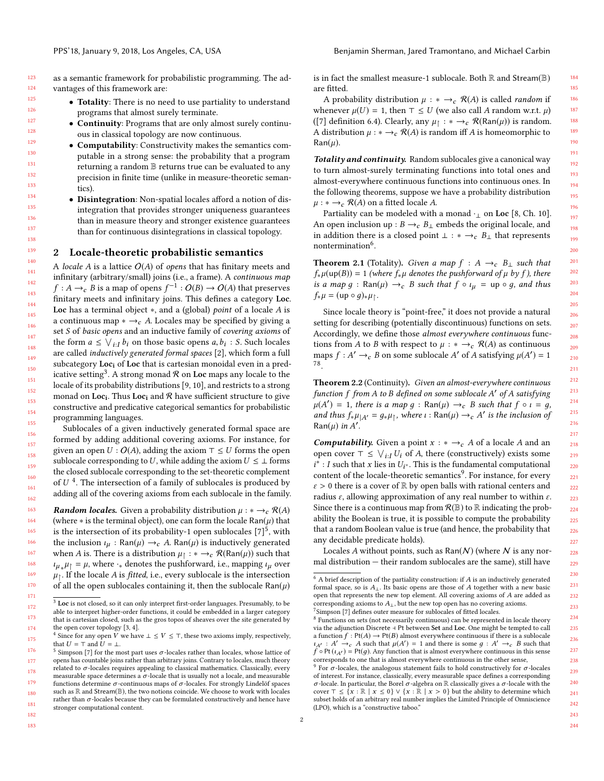182 183

as a semantic framework for probabilistic programming. The advantages of this framework are:

- Totality: There is no need to use partiality to understand programs that almost surely terminate.
- Continuity: Programs that are only almost surely continuous in classical topology are now continuous.
- Computability: Constructivity makes the semantics computable in a strong sense: the probability that a program returning a random B returns true can be evaluated to any precision in finite time (unlike in measure-theoretic semantics).
- Disintegration: Non-spatial locales afford a notion of disintegration that provides stronger uniqueness guarantees than in measure theory and stronger existence guarantees than for continuous disintegrations in classical topology.

#### 2 Locale-theoretic probabilistic semantics

A locale A is a lattice  $O(A)$  of opens that has finitary meets and infinitary (arbitrary/small) joins (i.e., a frame). A continuous map  $f : A \to_{c} B$  is a map of opens  $f^{-1} : O(B) \to O(A)$  that preserves<br>finitory meets and infinitory joins. This defines a category Loc finitary meets and infinitary joins. This defines a category Loc. Loc has a terminal object <sup>∗</sup>, and a (global) point of a locale A is a continuous map  $* \rightarrow_c A$ . Locales may be specified by giving a set S of basic opens and an inductive family of covering axioms of the form  $a \leq \bigvee_{i} I_i b_i$  on those basic opens  $a, b_i : S$ . Such locales<br>are called inductively generated formal spaces [2], which form a full are called inductively generated formal spaces [\[2\]](#page-2-0), which form a full subcategory Loc<sub>i</sub> of Loc that is cartesian monoidal even in a predicative setting $^3.$  $^3.$  $^3.$  A strong monad  ${\mathcal R}$  on  $\mathop{\rm Loc}\nolimits$  maps any locale to the locale of its probability distributions [\[9,](#page-2-1) [10\]](#page-2-2), and restricts to a strong monad on  $Loc_{\rm i}$ . Thus  $Loc_{\rm i}$  and  ${\mathcal R}$  have sufficient structure to give constructive and predicative categorical semantics for probabilistic programming languages.

Sublocales of a given inductively generated formal space are formed by adding additional covering axioms. For instance, for given an open  $U: O(A)$ , adding the axiom  $\top \leq U$  forms the open sublocale corresponding to U, while adding the axiom  $U \leq \bot$  forms the closed sublocale corresponding to the set-theoretic complement of  $U^4$  $U^4$ . The intersection of a family of sublocales is produced by adding all of the covering axioms from each sublocale in the family adding all of the covering axioms from each sublocale in the family.

163 164 165 166 167 168 169 170 171 **Random locales.** Given a probability distribution  $\mu : * \rightarrow_c \mathcal{R}(A)$ (where  $*$  is the terminal object), one can form the locale  $\text{Ran}(\mu)$  that is the intersection of its probability-1 open sublocales  $[7]^5$  $[7]^5$  $[7]^5$ , with the inclusion  $\iota_{\mu}$ : Ran( $\mu$ )  $\rightarrow$  *c*. A. Ran( $\mu$ ) is inductively generated when A is. There is a distribution  $\mu_{\uparrow} : * \rightarrow_c R(\text{Ran}(\mu))$  such that  $\mu_{\uparrow} = \mu$  where  $\downarrow$  denotes the pushforward i.e. manning  $\mu_{\downarrow}$  over  $\iota_{\mu}$ ,  $\mu_{\parallel} = \mu$ , where  $\cdot_*$  denotes the pushforward, i.e., mapping  $\iota_{\mu}$  over  $\mu_*$ . If the locale A is fitted i.e., every sublocale is the intersection  $\mu_{\parallel}$ . If the locale *A* is *fitted*, i.e., every sublocale is the intersection of all the open sublocales containing it, then the sublocale  $\text{Ban}(u)$ of all the open sublocales containing it, then the sublocale  $\text{Ran}(\mu)$  is in fact the smallest measure-1 sublocale. Both  $\mathbb R$  and Stream( $\mathbb B$ ) are fitted.

A probability distribution  $\mu : * \rightarrow_c \mathcal{R}(A)$  is called *random* if whenever  $\mu(U) = 1$ , then ⊤ ≤ U (we also call A random w.r.t.  $\mu$ ) ([\[7\]](#page-2-3) definition 6.4). Clearly, any  $\mu \uparrow : * \rightarrow_c \mathcal{R}(\text{Ran}(\mu))$  is random.<br>A distribution  $\mu : * \rightarrow \mathcal{R}(A)$  is random iff A is homeomorphic to A distribution  $\mu : * \to_c \mathcal{R}(A)$  is random iff A is homeomorphic to  $\text{Ran}(\mu)$ .

Totality and continuity. Random sublocales give a canonical way to turn almost-surely terminating functions into total ones and almost-everywhere continuous functions into continuous ones. In the following theorems, suppose we have a probability distribution  $\mu : * \rightarrow_c \mathcal{R}(A)$  on a fitted locale A.

Partiality can be modeled with a monad  $\cdot_1$  on Loc [\[8,](#page-2-6) Ch. 10]. An open inclusion up :  $B \rightarrow_c B_{\perp}$  embeds the original locale, and in addition there is a closed point  $\bot$  : \*  $\rightarrow$   $E$ <sub>⊥</sub> that represents nontermination<sup>[6](#page-1-3)</sup>.

**Theorem 2.1** (Totality). Given a map  $f : A \rightarrow_c B_{\perp}$  such that  $f_*\mu(\text{up}(B)) = 1$  (where  $f_*\mu$  denotes the pushforward of  $\mu$  by f), there is a map  $g : \text{Ran}(\mu) \rightarrow_c B$  such that  $f \circ \iota_\mu = \text{up} \circ g$ , and thus  $f_*\mu = (\text{up} \circ g)_*\mu_{\uparrow}.$ 

Since locale theory is "point-free," it does not provide a natural setting for describing (potentially discontinuous) functions on sets. Accordingly, we define those almost everywhere continuous functions from A to B with respect to  $\mu : * \rightarrow_c \mathcal{R}(A)$  as continuous maps  $f : A' \to_c B$  on some sublocale A' of A satisfying  $\mu(A') = 1$ <br>78 [7](#page-1-4)[8](#page-1-5) .

Theorem 2.2 (Continuity). Given an almost-everywhere continuous function f from A to B defined on some sublocale A' of A satisfying<br> $u(A') = 1$ , there is a map  $a : \text{Bon}(u) \to B$  such that f  $a \downarrow = a$  $\mu(A') = 1$ , there is a map  $g : \text{Ran}(\mu) \to_{c} B$  such that  $f \circ i = g$ ,<br>and thus  $f \circ \mu = g, \mu_{c}$ , where  $\mu : \text{Ran}(\mu) \to A'$  is the inclusion of and thus  $f_*\mu_{|A'} = g_*\mu_{|A}$ , where  $\iota : \text{Ran}(\mu) \to_c A'$  is the inclusion of  $\text{Ran}(\mu)$  in  $A'$  $\text{Ran}(\mu)$  in A'.

**Computability.** Given a point  $x : * \rightarrow_c A$  of a locale A and an open cover  $\top \leq \bigvee_{i \in I} U_i$  of A, there (constructively) exists some  $i^* \cdot I$  such that x lies in  $U^*$ . This is the fundamental computational content of the locale-theoretic semantics<sup>[9](#page-1-6)</sup>. For instance, for every  $\hat{\cdot}$  : I such that x lies in  $U_{l^*}$ . This is the fundamental computational content of the locale-theoretic semantics<sup>9</sup>. For instance, for every  $\varepsilon > 0$  there is a cover of R by open balls with rational centers and radius  $ε$ , allowing approximation of any real number to within  $ε$ . Since there is a continuous map from  $\mathcal{R}(\mathbb{B})$  to  $\mathbb R$  indicating the probability the Boolean is true, it is possible to compute the probability that a random Boolean value is true (and hence, the probability that any decidable predicate holds).

Locales A without points, such as  $\text{Ran}(\mathcal{N})$  (where  $\mathcal N$  is any normal distribution — their random sublocales are the same), still have

<span id="page-1-0"></span><sup>172</sup> 173 174 <sup>3</sup> Loc is not closed, so it can only interpret first-order languages. Presumably, to be able to interpret higher-order functions, it could be embedded in a larger category that is cartesian closed, such as the gros topos of sheaves over the site generated by the open cover topology [\[3,](#page-2-4) [4\]](#page-2-5).

<span id="page-1-1"></span><sup>175</sup> <sup>4</sup> Since for any open  $\overline{V}$  we have  $\bot \leq V \leq \top$ , these two axioms imply, respectively, that  $U = T$  and  $U = 1$ .

<span id="page-1-2"></span><sup>176</sup> 177 178 179 180 181 <sup>5</sup> Simpson [\[7\]](#page-2-3) for the most part uses  $\sigma$ -locales rather than locales, whose lattice of opens has countable joins rather than arbitrary joins. Contrary to locales, much theory related to  $\sigma$ -locales requires appealing to classical mathematics. Classically, every measurable space determines a  $\sigma$ -locale that is usually not a locale, and measurable functions determine  $\sigma$ -continuous maps of  $\sigma$ -locales. For strongly Lindelöf spaces such as  $\mathbb R$  and Stream( $\mathbb B$ ), the two notions coincide. We choose to work with locales rather than  $\sigma$ -locales because they can be formulated constructively and hence have stronger computational content.

<span id="page-1-3"></span> $^6$  A brief description of the partiality construction: if  $A$  is an inductively generated formal space, so is  $A_{\perp}$ . Its basic opens are those of A together with a new basic open that represents the new top element. All covering axioms of A are added as corresponding axioms to  $A_{\perp}$ , but the new top open has no covering axioms. <sup>7</sup>Simpson [\[7\]](#page-2-3) defines outer measure for sublocales of fitted locales.

<span id="page-1-5"></span><span id="page-1-4"></span><sup>&</sup>lt;sup>8</sup> Functions on sets (not necessarily continuous) can be represented in locale theory via the adjunction Discrete ⊣ Pt between Set and Loc. One might be tempted to call a function  $f: Pt(A) \rightarrow Pt(B)$  almost everywhere continuous if there is a sublocale  $\iota_{A'} : A' \to_c A$  such that  $\mu(A') = 1$  and there is some  $g : A' \to_c B$  such that  $\hat{f} \circ \text{Pt}\left(\iota_{A'}\right) = \text{Pt}(g)$  . Any function that is almost everywhere continuous in this sense corresponds to one that is almost everywhere continuous in the other sense,

<span id="page-1-6"></span><sup>&</sup>lt;sup>9</sup> For  $σ$ -locales, the analogous statement fails to hold constructively for  $σ$ -locales of interest. For instance, classically, every measurable space defines a corresponding σ-locale. In particular, the Borel σ-algebra on  $\mathbb R$  classically gives a σ-locale with the cover  $\top \leq \{x : \mathbb{R} \mid x \leq 0\} \vee \{x : \mathbb{R} \mid x > 0\}$  but the ability to determine which subset holds of an arbitrary real number implies the Limited Principle of Omniscience (LPO), which is a "constructive taboo."